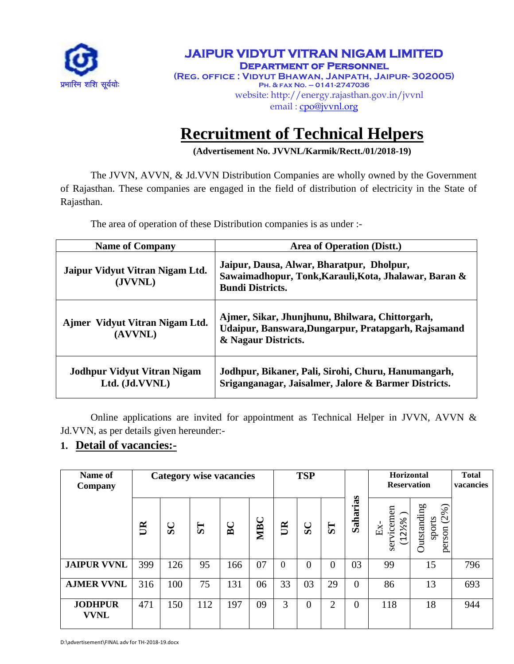

### **JAIPUR VIDYUT VITRAN NIGAM LIMITED Department of Personnel (Reg. office : Vidyut Bhawan, Janpath, Jaipur- 302005) Ph. & fax No. – 0141-2747036** website: http://energy.rajasthan.gov.in/jvvnl email : [cpo@jvvnl.org](mailto:cpo@jvvnl.org)

# **Recruitment of Technical Helpers**

**(Advertisement No. JVVNL/Karmik/Rectt./01/2018-19)**

The JVVN, AVVN, & Jd.VVN Distribution Companies are wholly owned by the Government of Rajasthan. These companies are engaged in the field of distribution of electricity in the State of Rajasthan.

The area of operation of these Distribution companies is as under :-

| <b>Name of Company</b>                               | Area of Operation (Distt.)                                                                                                    |
|------------------------------------------------------|-------------------------------------------------------------------------------------------------------------------------------|
| Jaipur Vidyut Vitran Nigam Ltd.<br>(JVVNL)           | Jaipur, Dausa, Alwar, Bharatpur, Dholpur,<br>Sawaimadhopur, Tonk, Karauli, Kota, Jhalawar, Baran &<br><b>Bundi Districts.</b> |
| Ajmer Vidyut Vitran Nigam Ltd.<br>(AVVNL)            | Ajmer, Sikar, Jhunjhunu, Bhilwara, Chittorgarh,<br>Udaipur, Banswara, Dungarpur, Pratapgarh, Rajsamand<br>& Nagaur Districts. |
| <b>Jodhpur Vidyut Vitran Nigam</b><br>Ltd. (Jd.VVNL) | Jodhpur, Bikaner, Pali, Sirohi, Churu, Hanumangarh,<br>Sriganganagar, Jaisalmer, Jalore & Barmer Districts.                   |

Online applications are invited for appointment as Technical Helper in JVVN, AVVN & Jd.VVN, as per details given hereunder:-

# **1. Detail of vacancies:-**

| Name of<br>Company            | <b>Category wise vacancies</b> |              |           |     | <b>TSP</b> |          |          |                | Horizontal<br><b>Reservation</b> |                                              | <b>Total</b><br>vacancies                      |     |
|-------------------------------|--------------------------------|--------------|-----------|-----|------------|----------|----------|----------------|----------------------------------|----------------------------------------------|------------------------------------------------|-----|
|                               | $\mathbb{R}$                   | $\mathbf{S}$ | <b>ST</b> | BC  | <b>MBC</b> | UR       | SC       | 57             | as<br>Sahari                     | vicemen<br>$(12\frac{1}{8})$<br>$Ex-$<br>ser | <b>Outstanding</b><br>(2%)<br>sports<br>person |     |
| <b>JAIPUR VVNL</b>            | 399                            | 126          | 95        | 166 | 07         | $\theta$ | $\theta$ | $\theta$       | 03                               | 99                                           | 15                                             | 796 |
| <b>AJMER VVNL</b>             | 316                            | 100          | 75        | 131 | 06         | 33       | 03       | 29             | $\theta$                         | 86                                           | 13                                             | 693 |
| <b>JODHPUR</b><br><b>VVNL</b> | 471                            | 150          | 112       | 197 | 09         | 3        | $\Omega$ | $\overline{2}$ | $\theta$                         | 118                                          | 18                                             | 944 |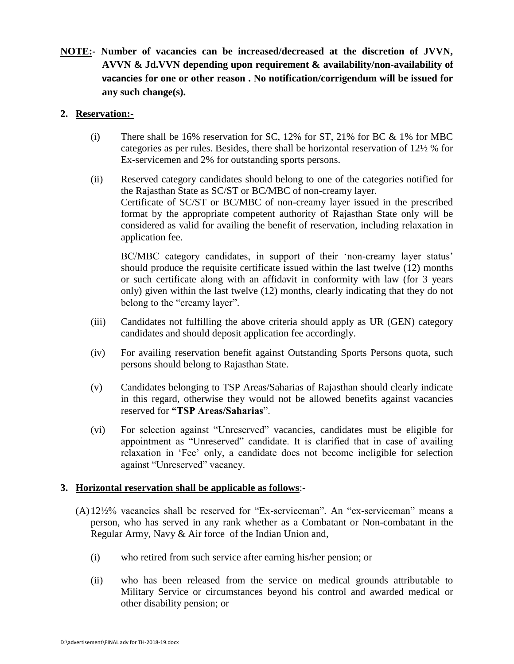**NOTE:- Number of vacancies can be increased/decreased at the discretion of JVVN, AVVN & Jd.VVN depending upon requirement & availability/non-availability of vacancies for one or other reason . No notification/corrigendum will be issued for any such change(s).**

#### **2. Reservation:-**

- (i) There shall be 16% reservation for SC, 12% for ST, 21% for BC & 1% for MBC categories as per rules. Besides, there shall be horizontal reservation of 12½ % for Ex-servicemen and 2% for outstanding sports persons.
- (ii) Reserved category candidates should belong to one of the categories notified for the Rajasthan State as SC/ST or BC/MBC of non-creamy layer. Certificate of SC/ST or BC/MBC of non-creamy layer issued in the prescribed format by the appropriate competent authority of Rajasthan State only will be considered as valid for availing the benefit of reservation, including relaxation in application fee.

BC/MBC category candidates, in support of their 'non-creamy layer status' should produce the requisite certificate issued within the last twelve (12) months or such certificate along with an affidavit in conformity with law (for 3 years only) given within the last twelve (12) months, clearly indicating that they do not belong to the "creamy layer".

- (iii) Candidates not fulfilling the above criteria should apply as UR (GEN) category candidates and should deposit application fee accordingly.
- (iv) For availing reservation benefit against Outstanding Sports Persons quota, such persons should belong to Rajasthan State.
- (v) Candidates belonging to TSP Areas/Saharias of Rajasthan should clearly indicate in this regard, otherwise they would not be allowed benefits against vacancies reserved for **"TSP Areas/Saharias**".
- (vi) For selection against "Unreserved" vacancies, candidates must be eligible for appointment as "Unreserved" candidate. It is clarified that in case of availing relaxation in "Fee" only, a candidate does not become ineligible for selection against "Unreserved" vacancy.

#### **3. Horizontal reservation shall be applicable as follows**:-

- (A)12½% vacancies shall be reserved for "Ex-serviceman". An "ex-serviceman" means a person, who has served in any rank whether as a Combatant or Non-combatant in the Regular Army, Navy & Air force of the Indian Union and,
	- (i) who retired from such service after earning his/her pension; or
	- (ii) who has been released from the service on medical grounds attributable to Military Service or circumstances beyond his control and awarded medical or other disability pension; or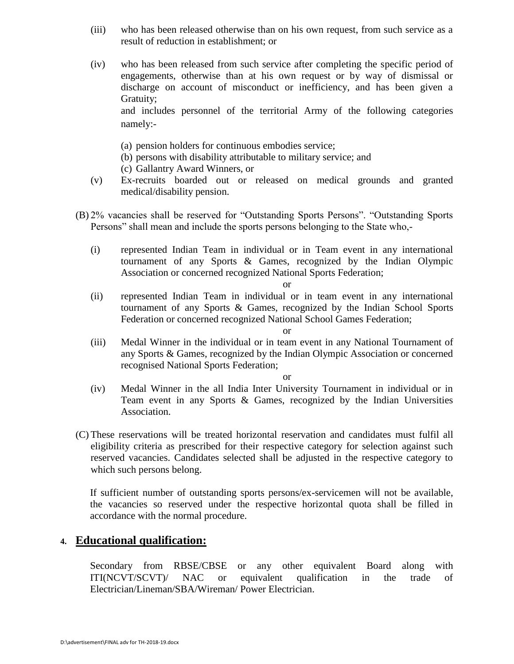- (iii) who has been released otherwise than on his own request, from such service as a result of reduction in establishment; or
- (iv) who has been released from such service after completing the specific period of engagements, otherwise than at his own request or by way of dismissal or discharge on account of misconduct or inefficiency, and has been given a Gratuity; and includes personnel of the territorial Army of the following categories namely:-
	- (a) pension holders for continuous embodies service;
	- (b) persons with disability attributable to military service; and
	- (c) Gallantry Award Winners, or
- (v) Ex-recruits boarded out or released on medical grounds and granted medical/disability pension.
- (B) 2% vacancies shall be reserved for "Outstanding Sports Persons". "Outstanding Sports Persons" shall mean and include the sports persons belonging to the State who,-
	- (i) represented Indian Team in individual or in Team event in any international tournament of any Sports & Games, recognized by the Indian Olympic Association or concerned recognized National Sports Federation;

or

(ii) represented Indian Team in individual or in team event in any international tournament of any Sports & Games, recognized by the Indian School Sports Federation or concerned recognized National School Games Federation;

or

(iii) Medal Winner in the individual or in team event in any National Tournament of any Sports & Games, recognized by the Indian Olympic Association or concerned recognised National Sports Federation;

or

- (iv) Medal Winner in the all India Inter University Tournament in individual or in Team event in any Sports & Games, recognized by the Indian Universities Association.
- (C) These reservations will be treated horizontal reservation and candidates must fulfil all eligibility criteria as prescribed for their respective category for selection against such reserved vacancies. Candidates selected shall be adjusted in the respective category to which such persons belong.

If sufficient number of outstanding sports persons/ex-servicemen will not be available, the vacancies so reserved under the respective horizontal quota shall be filled in accordance with the normal procedure.

## **4. Educational qualification:**

Secondary from RBSE/CBSE or any other equivalent Board along with ITI(NCVT/SCVT)/ NAC or equivalent qualification in the trade of Electrician/Lineman/SBA/Wireman/ Power Electrician.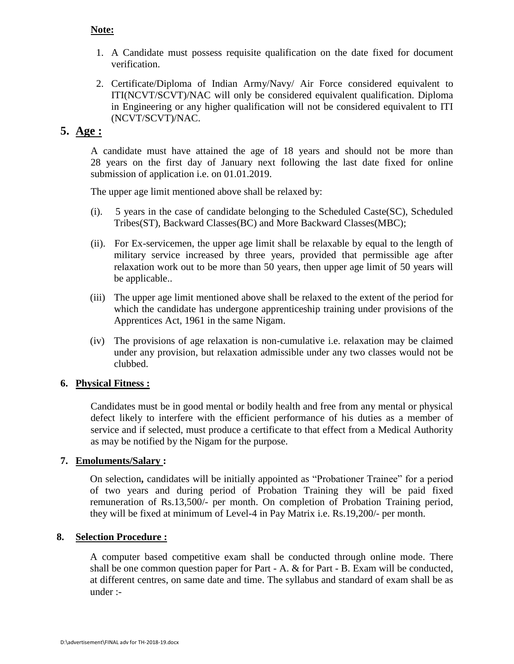#### **Note:**

- 1. A Candidate must possess requisite qualification on the date fixed for document verification.
- 2. Certificate/Diploma of Indian Army/Navy/ Air Force considered equivalent to ITI(NCVT/SCVT)/NAC will only be considered equivalent qualification. Diploma in Engineering or any higher qualification will not be considered equivalent to ITI (NCVT/SCVT)/NAC.

## **5. Age :**

A candidate must have attained the age of 18 years and should not be more than 28 years on the first day of January next following the last date fixed for online submission of application i.e. on 01.01.2019.

The upper age limit mentioned above shall be relaxed by:

- (i). 5 years in the case of candidate belonging to the Scheduled Caste(SC), Scheduled Tribes(ST), Backward Classes(BC) and More Backward Classes(MBC);
- (ii). For Ex-servicemen, the upper age limit shall be relaxable by equal to the length of military service increased by three years, provided that permissible age after relaxation work out to be more than 50 years, then upper age limit of 50 years will be applicable..
- (iii) The upper age limit mentioned above shall be relaxed to the extent of the period for which the candidate has undergone apprenticeship training under provisions of the Apprentices Act, 1961 in the same Nigam.
- (iv) The provisions of age relaxation is non-cumulative i.e. relaxation may be claimed under any provision, but relaxation admissible under any two classes would not be clubbed.

#### **6. Physical Fitness :**

Candidates must be in good mental or bodily health and free from any mental or physical defect likely to interfere with the efficient performance of his duties as a member of service and if selected, must produce a certificate to that effect from a Medical Authority as may be notified by the Nigam for the purpose.

#### **7. Emoluments/Salary :**

On selection**,** candidates will be initially appointed as "Probationer Trainee" for a period of two years and during period of Probation Training they will be paid fixed remuneration of Rs.13,500/- per month. On completion of Probation Training period, they will be fixed at minimum of Level-4 in Pay Matrix i.e. Rs.19,200/- per month.

#### **8. Selection Procedure :**

A computer based competitive exam shall be conducted through online mode. There shall be one common question paper for Part - A. & for Part - B. Exam will be conducted, at different centres, on same date and time. The syllabus and standard of exam shall be as under :-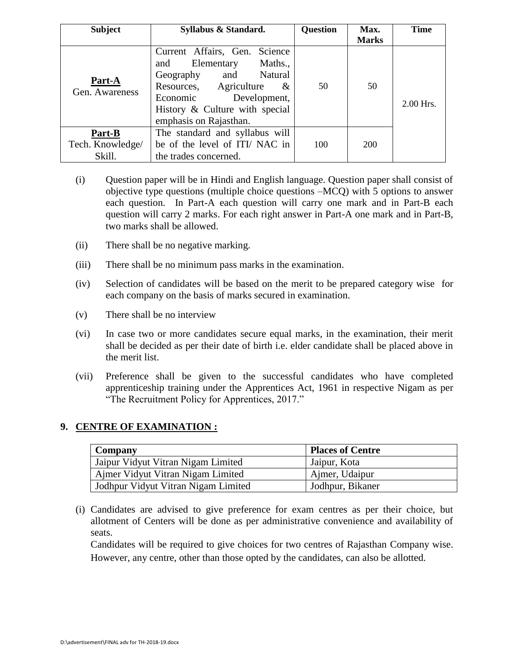| <b>Subject</b>           | Syllabus & Standard.                                                                                                                                                                                                | <b>Question</b> | Max.<br><b>Marks</b> | <b>Time</b> |
|--------------------------|---------------------------------------------------------------------------------------------------------------------------------------------------------------------------------------------------------------------|-----------------|----------------------|-------------|
| Part-A<br>Gen. Awareness | Current Affairs, Gen. Science<br>Maths.,<br>and Elementary<br>Natural<br>Geography<br>and<br>Resources, Agriculture<br>$\&$<br>Development,<br>Economic<br>History & Culture with special<br>emphasis on Rajasthan. | 50              | 50                   | 2.00 Hrs.   |
| Part-B                   | The standard and syllabus will                                                                                                                                                                                      |                 |                      |             |
| Tech. Knowledge/         | be of the level of ITI/NAC in                                                                                                                                                                                       | 100             | 200                  |             |
| Skill.                   | the trades concerned.                                                                                                                                                                                               |                 |                      |             |

- (i) Question paper will be in Hindi and English language. Question paper shall consist of objective type questions (multiple choice questions –MCQ) with 5 options to answer each question. In Part-A each question will carry one mark and in Part-B each question will carry 2 marks. For each right answer in Part-A one mark and in Part-B, two marks shall be allowed.
- (ii) There shall be no negative marking.
- (iii) There shall be no minimum pass marks in the examination.
- (iv) Selection of candidates will be based on the merit to be prepared category wise for each company on the basis of marks secured in examination.
- (v) There shall be no interview
- (vi) In case two or more candidates secure equal marks, in the examination, their merit shall be decided as per their date of birth i.e. elder candidate shall be placed above in the merit list.
- (vii) Preference shall be given to the successful candidates who have completed apprenticeship training under the Apprentices Act, 1961 in respective Nigam as per "The Recruitment Policy for Apprentices, 2017."

## **9. CENTRE OF EXAMINATION :**

| Company                             | <b>Places of Centre</b> |
|-------------------------------------|-------------------------|
| Jaipur Vidyut Vitran Nigam Limited  | Jaipur, Kota            |
| Ajmer Vidyut Vitran Nigam Limited   | Ajmer, Udaipur          |
| Jodhpur Vidyut Vitran Nigam Limited | Jodhpur, Bikaner        |

(i) Candidates are advised to give preference for exam centres as per their choice, but allotment of Centers will be done as per administrative convenience and availability of seats.

Candidates will be required to give choices for two centres of Rajasthan Company wise. However, any centre, other than those opted by the candidates, can also be allotted.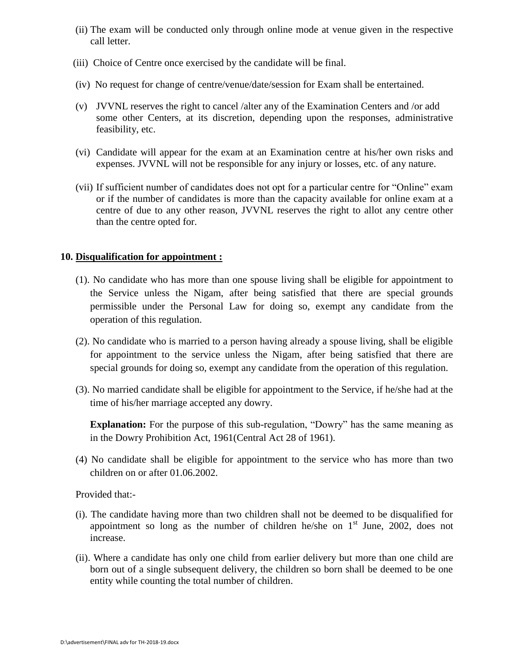- (ii) The exam will be conducted only through online mode at venue given in the respective call letter.
- (iii) Choice of Centre once exercised by the candidate will be final.
- (iv) No request for change of centre/venue/date/session for Exam shall be entertained.
- (v) JVVNL reserves the right to cancel /alter any of the Examination Centers and /or add some other Centers, at its discretion, depending upon the responses, administrative feasibility, etc.
- (vi) Candidate will appear for the exam at an Examination centre at his/her own risks and expenses. JVVNL will not be responsible for any injury or losses, etc. of any nature.
- (vii) If sufficient number of candidates does not opt for a particular centre for "Online" exam or if the number of candidates is more than the capacity available for online exam at a centre of due to any other reason, JVVNL reserves the right to allot any centre other than the centre opted for.

#### **10. Disqualification for appointment :**

- (1). No candidate who has more than one spouse living shall be eligible for appointment to the Service unless the Nigam, after being satisfied that there are special grounds permissible under the Personal Law for doing so, exempt any candidate from the operation of this regulation.
- (2). No candidate who is married to a person having already a spouse living, shall be eligible for appointment to the service unless the Nigam, after being satisfied that there are special grounds for doing so, exempt any candidate from the operation of this regulation.
- (3). No married candidate shall be eligible for appointment to the Service, if he/she had at the time of his/her marriage accepted any dowry.

**Explanation:** For the purpose of this sub-regulation, "Dowry" has the same meaning as in the Dowry Prohibition Act, 1961(Central Act 28 of 1961).

(4) No candidate shall be eligible for appointment to the service who has more than two children on or after 01.06.2002.

Provided that:-

- (i). The candidate having more than two children shall not be deemed to be disqualified for appointment so long as the number of children he/she on  $1<sup>st</sup>$  June, 2002, does not increase.
- (ii). Where a candidate has only one child from earlier delivery but more than one child are born out of a single subsequent delivery, the children so born shall be deemed to be one entity while counting the total number of children.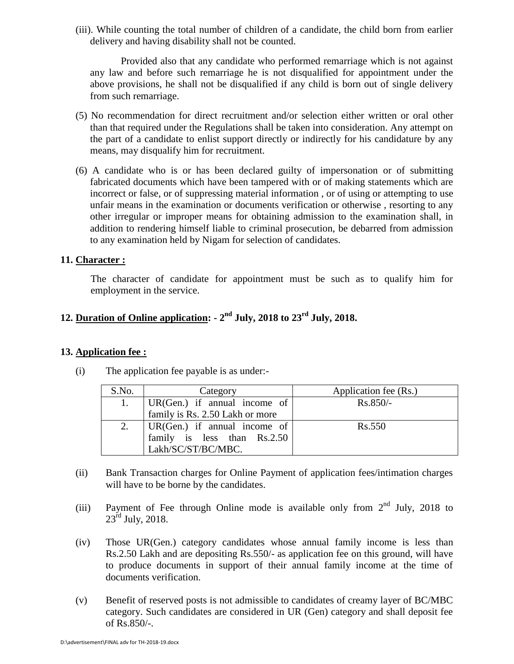(iii). While counting the total number of children of a candidate, the child born from earlier delivery and having disability shall not be counted.

Provided also that any candidate who performed remarriage which is not against any law and before such remarriage he is not disqualified for appointment under the above provisions, he shall not be disqualified if any child is born out of single delivery from such remarriage.

- (5) No recommendation for direct recruitment and/or selection either written or oral other than that required under the Regulations shall be taken into consideration. Any attempt on the part of a candidate to enlist support directly or indirectly for his candidature by any means, may disqualify him for recruitment.
- (6) A candidate who is or has been declared guilty of impersonation or of submitting fabricated documents which have been tampered with or of making statements which are incorrect or false, or of suppressing material information , or of using or attempting to use unfair means in the examination or documents verification or otherwise , resorting to any other irregular or improper means for obtaining admission to the examination shall, in addition to rendering himself liable to criminal prosecution, be debarred from admission to any examination held by Nigam for selection of candidates.

## **11. Character :**

The character of candidate for appointment must be such as to qualify him for employment in the service.

# **12. Duration of Online application: - 2 nd July, 2018 to 23rd July, 2018.**

#### **13. Application fee :**

| S.No. | Category                                                  | Application fee (Rs.) |
|-------|-----------------------------------------------------------|-----------------------|
| 1.    | $  \text{UR}(\text{Gen.}) \text{ if annual income of }  $ | $Rs.850/-$            |
|       | family is Rs. 2.50 Lakh or more                           |                       |
|       | 2. $  \text{UR(Gen.)} \text{ if annual income of }  $     | Rs.550                |
|       | family is less than Rs.2.50                               |                       |
|       | Lakh/SC/ST/BC/MBC.                                        |                       |

(i) The application fee payable is as under:-

- (ii) Bank Transaction charges for Online Payment of application fees/intimation charges will have to be borne by the candidates.
- (iii) Payment of Fee through Online mode is available only from  $2<sup>nd</sup>$  July, 2018 to  $23^{\text{rd}}$  July, 2018.
- (iv) Those UR(Gen.) category candidates whose annual family income is less than Rs.2.50 Lakh and are depositing Rs.550/- as application fee on this ground, will have to produce documents in support of their annual family income at the time of documents verification.
- (v) Benefit of reserved posts is not admissible to candidates of creamy layer of BC/MBC category. Such candidates are considered in UR (Gen) category and shall deposit fee of Rs.850/-.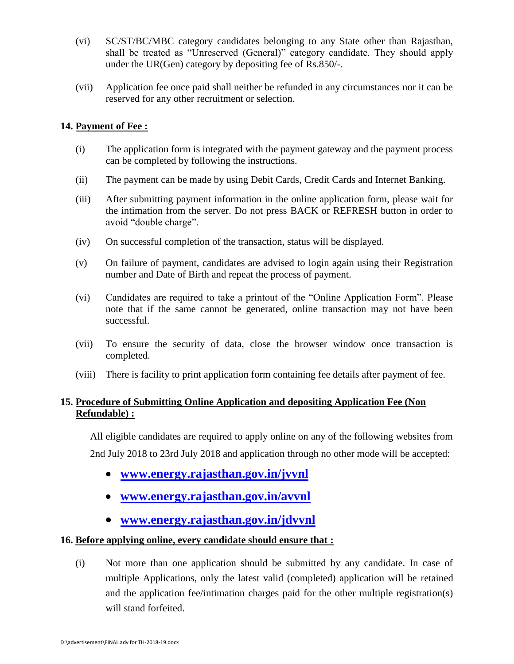- (vi) SC/ST/BC/MBC category candidates belonging to any State other than Rajasthan, shall be treated as "Unreserved (General)" category candidate. They should apply under the UR(Gen) category by depositing fee of Rs.850/-.
- (vii) Application fee once paid shall neither be refunded in any circumstances nor it can be reserved for any other recruitment or selection.

### **14. Payment of Fee :**

- (i) The application form is integrated with the payment gateway and the payment process can be completed by following the instructions.
- (ii) The payment can be made by using Debit Cards, Credit Cards and Internet Banking.
- (iii) After submitting payment information in the online application form, please wait for the intimation from the server. Do not press BACK or REFRESH button in order to avoid "double charge".
- (iv) On successful completion of the transaction, status will be displayed.
- (v) On failure of payment, candidates are advised to login again using their Registration number and Date of Birth and repeat the process of payment.
- (vi) Candidates are required to take a printout of the "Online Application Form". Please note that if the same cannot be generated, online transaction may not have been successful.
- (vii) To ensure the security of data, close the browser window once transaction is completed.
- (viii) There is facility to print application form containing fee details after payment of fee.

# **15. Procedure of Submitting Online Application and depositing Application Fee (Non Refundable) :**

All eligible candidates are required to apply online on any of the following websites from 2nd July 2018 to 23rd July 2018 and application through no other mode will be accepted:

- **[www.energy.rajasthan.gov.in/jvvnl](http://www.energy.rajasthan.gov.in/jvvnl)**
- **[www.energy.rajasthan.gov.in/avvnl](http://www.energy.rajasthan.gov.in/avvnl)**
- **[www.energy.rajasthan.gov.in/jdvvnl](http://www.energy.rajasthan.gov.in/jdvvnl)**

## **16. Before applying online, every candidate should ensure that :**

(i) Not more than one application should be submitted by any candidate. In case of multiple Applications, only the latest valid (completed) application will be retained and the application fee/intimation charges paid for the other multiple registration(s) will stand forfeited.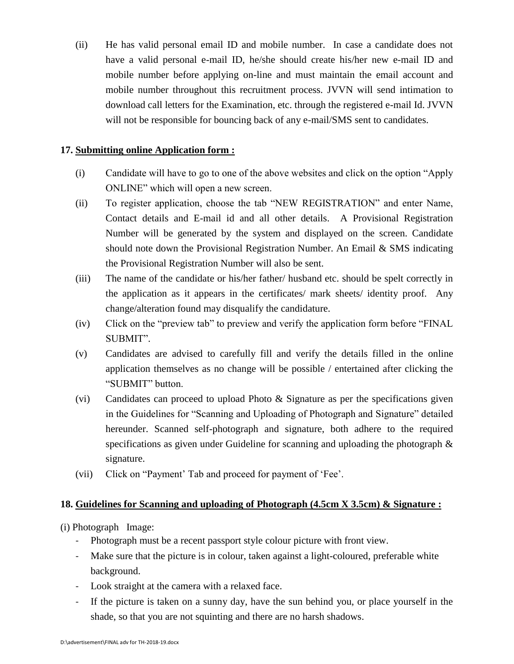(ii) He has valid personal email ID and mobile number. In case a candidate does not have a valid personal e-mail ID, he/she should create his/her new e-mail ID and mobile number before applying on-line and must maintain the email account and mobile number throughout this recruitment process. JVVN will send intimation to download call letters for the Examination, etc. through the registered e-mail Id. JVVN will not be responsible for bouncing back of any e-mail/SMS sent to candidates.

#### **17. Submitting online Application form :**

- (i) Candidate will have to go to one of the above websites and click on the option "Apply ONLINE" which will open a new screen.
- (ii) To register application, choose the tab "NEW REGISTRATION" and enter Name, Contact details and E-mail id and all other details. A Provisional Registration Number will be generated by the system and displayed on the screen. Candidate should note down the Provisional Registration Number. An Email & SMS indicating the Provisional Registration Number will also be sent.
- (iii) The name of the candidate or his/her father/ husband etc. should be spelt correctly in the application as it appears in the certificates/ mark sheets/ identity proof. Any change/alteration found may disqualify the candidature.
- (iv) Click on the "preview tab" to preview and verify the application form before "FINAL SUBMIT".
- (v) Candidates are advised to carefully fill and verify the details filled in the online application themselves as no change will be possible / entertained after clicking the "SUBMIT" button.
- (vi) Candidates can proceed to upload Photo & Signature as per the specifications given in the Guidelines for "Scanning and Uploading of Photograph and Signature" detailed hereunder. Scanned self-photograph and signature, both adhere to the required specifications as given under Guideline for scanning and uploading the photograph & signature.
- (vii) Click on "Payment" Tab and proceed for payment of "Fee".

## **18. Guidelines for Scanning and uploading of Photograph (4.5cm X 3.5cm) & Signature :**

(i) Photograph Image:

- Photograph must be a recent passport style colour picture with front view.
- Make sure that the picture is in colour, taken against a light-coloured, preferable white background.
- Look straight at the camera with a relaxed face.
- If the picture is taken on a sunny day, have the sun behind you, or place yourself in the shade, so that you are not squinting and there are no harsh shadows.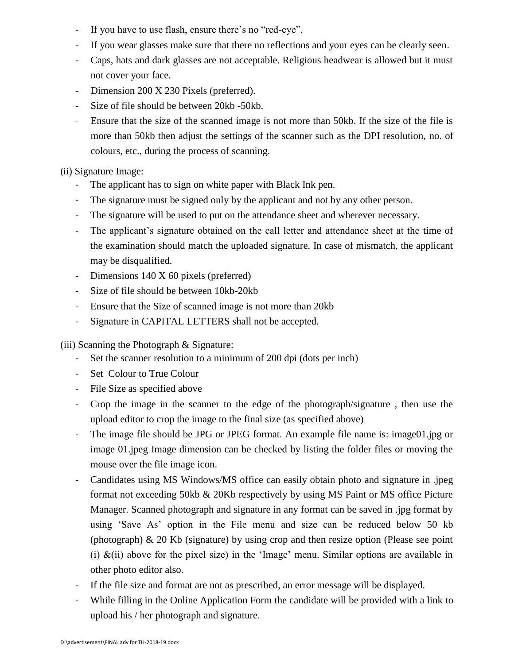- If you have to use flash, ensure there's no "red-eye".
- If you wear glasses make sure that there no reflections and your eyes can be clearly seen.
- Caps, hats and dark glasses are not acceptable. Religious headwear is allowed but it must not cover your face.
- Dimension 200 X 230 Pixels (preferred).
- Size of file should be between 20kb -50kb.
- Ensure that the size of the scanned image is not more than 50kb. If the size of the file is more than 50kb then adjust the settings of the scanner such as the DPI resolution, no. of colours, etc., during the process of scanning.

(ii) Signature Image:

- The applicant has to sign on white paper with Black Ink pen.
- The signature must be signed only by the applicant and not by any other person.
- The signature will be used to put on the attendance sheet and wherever necessary.
- The applicant's signature obtained on the call letter and attendance sheet at the time of the examination should match the uploaded signature. In case of mismatch, the applicant may be disqualified.
- Dimensions 140 X 60 pixels (preferred)
- Size of file should be between 10kb-20kb
- Ensure that the Size of scanned image is not more than 20kb
- Signature in CAPITAL LETTERS shall not be accepted.

(iii) Scanning the Photograph & Signature:

- Set the scanner resolution to a minimum of 200 dpi (dots per inch)
- Set Colour to True Colour
- File Size as specified above
- Crop the image in the scanner to the edge of the photograph/signature , then use the upload editor to crop the image to the final size (as specified above)
- The image file should be JPG or JPEG format. An example file name is: image01.jpg or image 01.jpeg Image dimension can be checked by listing the folder files or moving the mouse over the file image icon.
- Candidates using MS Windows/MS office can easily obtain photo and signature in .jpeg format not exceeding 50kb & 20Kb respectively by using MS Paint or MS office Picture Manager. Scanned photograph and signature in any format can be saved in .jpg format by using 'Save As' option in the File menu and size can be reduced below 50 kb (photograph) & 20 Kb (signature) by using crop and then resize option (Please see point (i)  $\&$ (ii) above for the pixel size) in the 'Image' menu. Similar options are available in other photo editor also.
- If the file size and format are not as prescribed, an error message will be displayed.
- While filling in the Online Application Form the candidate will be provided with a link to upload his / her photograph and signature.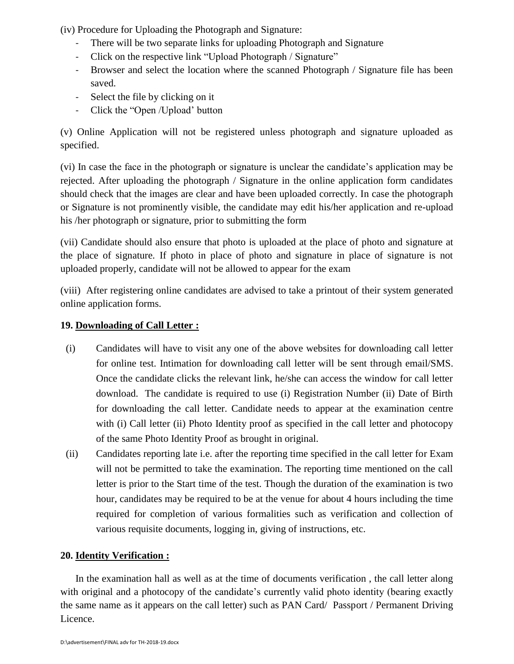(iv) Procedure for Uploading the Photograph and Signature:

- There will be two separate links for uploading Photograph and Signature
- Click on the respective link "Upload Photograph / Signature"
- Browser and select the location where the scanned Photograph / Signature file has been saved.
- Select the file by clicking on it
- Click the "Open /Upload" button

(v) Online Application will not be registered unless photograph and signature uploaded as specified.

(vi) In case the face in the photograph or signature is unclear the candidate"s application may be rejected. After uploading the photograph / Signature in the online application form candidates should check that the images are clear and have been uploaded correctly. In case the photograph or Signature is not prominently visible, the candidate may edit his/her application and re-upload his /her photograph or signature, prior to submitting the form

(vii) Candidate should also ensure that photo is uploaded at the place of photo and signature at the place of signature. If photo in place of photo and signature in place of signature is not uploaded properly, candidate will not be allowed to appear for the exam

(viii) After registering online candidates are advised to take a printout of their system generated online application forms.

# **19. Downloading of Call Letter :**

- (i) Candidates will have to visit any one of the above websites for downloading call letter for online test. Intimation for downloading call letter will be sent through email/SMS. Once the candidate clicks the relevant link, he/she can access the window for call letter download. The candidate is required to use (i) Registration Number (ii) Date of Birth for downloading the call letter. Candidate needs to appear at the examination centre with (i) Call letter (ii) Photo Identity proof as specified in the call letter and photocopy of the same Photo Identity Proof as brought in original.
- (ii) Candidates reporting late i.e. after the reporting time specified in the call letter for Exam will not be permitted to take the examination. The reporting time mentioned on the call letter is prior to the Start time of the test. Though the duration of the examination is two hour, candidates may be required to be at the venue for about 4 hours including the time required for completion of various formalities such as verification and collection of various requisite documents, logging in, giving of instructions, etc.

# **20. Identity Verification :**

In the examination hall as well as at the time of documents verification , the call letter along with original and a photocopy of the candidate's currently valid photo identity (bearing exactly the same name as it appears on the call letter) such as PAN Card/ Passport / Permanent Driving Licence.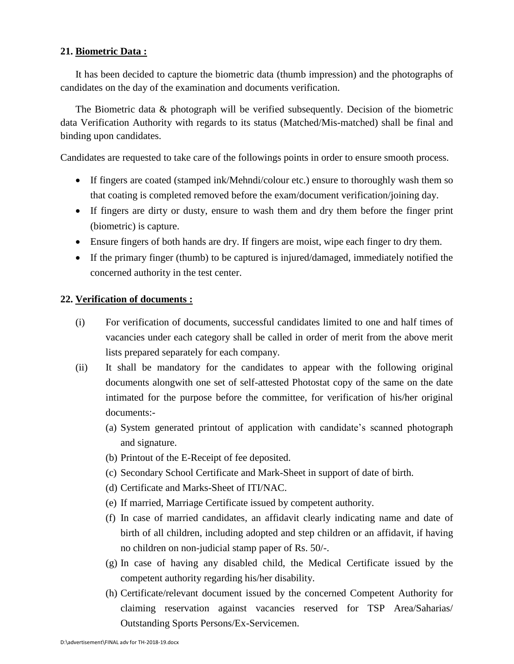#### **21. Biometric Data :**

It has been decided to capture the biometric data (thumb impression) and the photographs of candidates on the day of the examination and documents verification.

The Biometric data & photograph will be verified subsequently. Decision of the biometric data Verification Authority with regards to its status (Matched/Mis-matched) shall be final and binding upon candidates.

Candidates are requested to take care of the followings points in order to ensure smooth process.

- If fingers are coated (stamped ink/Mehndi/colour etc.) ensure to thoroughly wash them so that coating is completed removed before the exam/document verification/joining day.
- If fingers are dirty or dusty, ensure to wash them and dry them before the finger print (biometric) is capture.
- Ensure fingers of both hands are dry. If fingers are moist, wipe each finger to dry them.
- If the primary finger (thumb) to be captured is injured/damaged, immediately notified the concerned authority in the test center.

#### **22. Verification of documents :**

- (i) For verification of documents, successful candidates limited to one and half times of vacancies under each category shall be called in order of merit from the above merit lists prepared separately for each company.
- (ii) It shall be mandatory for the candidates to appear with the following original documents alongwith one set of self-attested Photostat copy of the same on the date intimated for the purpose before the committee, for verification of his/her original documents:-
	- (a) System generated printout of application with candidate"s scanned photograph and signature.
	- (b) Printout of the E-Receipt of fee deposited.
	- (c) Secondary School Certificate and Mark-Sheet in support of date of birth.
	- (d) Certificate and Marks-Sheet of ITI/NAC.
	- (e) If married, Marriage Certificate issued by competent authority.
	- (f) In case of married candidates, an affidavit clearly indicating name and date of birth of all children, including adopted and step children or an affidavit, if having no children on non-judicial stamp paper of Rs. 50/-.
	- (g) In case of having any disabled child, the Medical Certificate issued by the competent authority regarding his/her disability.
	- (h) Certificate/relevant document issued by the concerned Competent Authority for claiming reservation against vacancies reserved for TSP Area/Saharias/ Outstanding Sports Persons/Ex-Servicemen.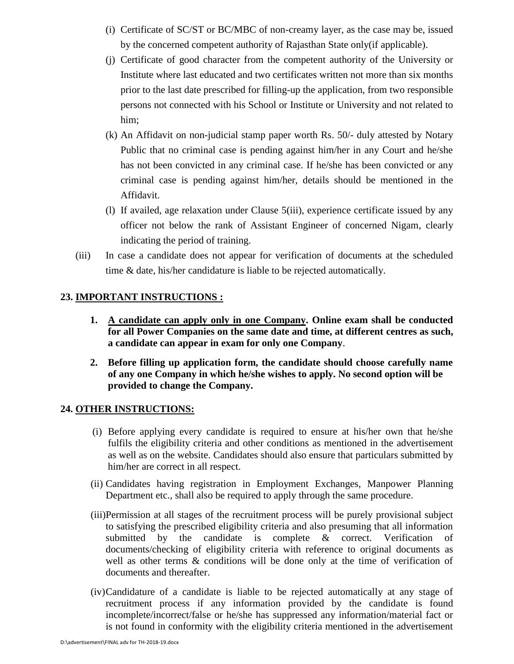- (i) Certificate of SC/ST or BC/MBC of non-creamy layer, as the case may be, issued by the concerned competent authority of Rajasthan State only(if applicable).
- (j) Certificate of good character from the competent authority of the University or Institute where last educated and two certificates written not more than six months prior to the last date prescribed for filling-up the application, from two responsible persons not connected with his School or Institute or University and not related to him;
- (k) An Affidavit on non-judicial stamp paper worth Rs. 50/- duly attested by Notary Public that no criminal case is pending against him/her in any Court and he/she has not been convicted in any criminal case. If he/she has been convicted or any criminal case is pending against him/her, details should be mentioned in the Affidavit.
- (l) If availed, age relaxation under Clause 5(iii), experience certificate issued by any officer not below the rank of Assistant Engineer of concerned Nigam, clearly indicating the period of training.
- (iii) In case a candidate does not appear for verification of documents at the scheduled time & date, his/her candidature is liable to be rejected automatically.

## **23. IMPORTANT INSTRUCTIONS :**

- **1. A candidate can apply only in one Company. Online exam shall be conducted for all Power Companies on the same date and time, at different centres as such, a candidate can appear in exam for only one Company**.
- **2. Before filling up application form, the candidate should choose carefully name of any one Company in which he/she wishes to apply. No second option will be provided to change the Company.**

## **24. OTHER INSTRUCTIONS:**

- (i) Before applying every candidate is required to ensure at his/her own that he/she fulfils the eligibility criteria and other conditions as mentioned in the advertisement as well as on the website. Candidates should also ensure that particulars submitted by him/her are correct in all respect.
- (ii) Candidates having registration in Employment Exchanges, Manpower Planning Department etc., shall also be required to apply through the same procedure.
- (iii)Permission at all stages of the recruitment process will be purely provisional subject to satisfying the prescribed eligibility criteria and also presuming that all information submitted by the candidate is complete & correct. Verification of documents/checking of eligibility criteria with reference to original documents as well as other terms & conditions will be done only at the time of verification of documents and thereafter.
- (iv)Candidature of a candidate is liable to be rejected automatically at any stage of recruitment process if any information provided by the candidate is found incomplete/incorrect/false or he/she has suppressed any information/material fact or is not found in conformity with the eligibility criteria mentioned in the advertisement